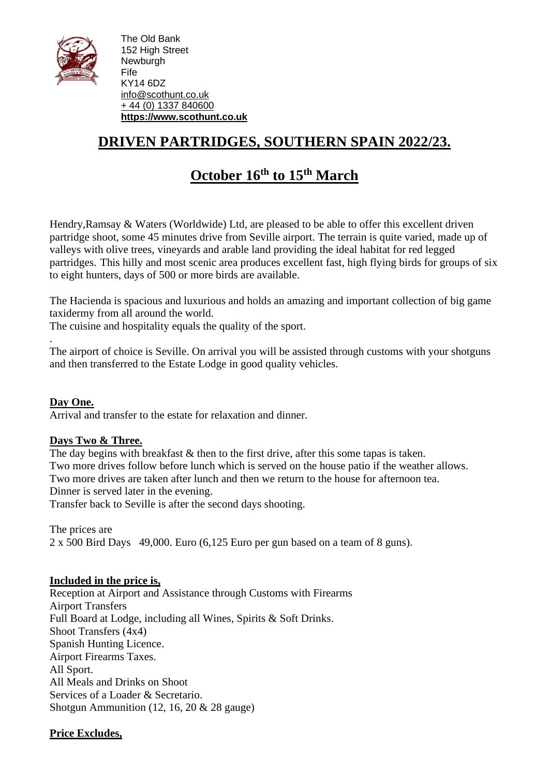

The Old Bank 152 High Street Newburgh Fife KY14 6DZ [info@scothunt.co.uk](mailto:info@scothunt.co.uk) + 44 (0) 1337 [840600](tel:+%2044%20(0)%201337%20840600) **[https://www.scothunt.co.uk](https://www.scothunt.co.uk/)**

## **DRIVEN PARTRIDGES, SOUTHERN SPAIN 2022/23.**

# **October 16 th to 15th March**

Hendry,Ramsay & Waters (Worldwide) Ltd, are pleased to be able to offer this excellent driven partridge shoot, some 45 minutes drive from Seville airport. The terrain is quite varied, made up of valleys with olive trees, vineyards and arable land providing the ideal habitat for red legged partridges. This hilly and most scenic area produces excellent fast, high flying birds for groups of six to eight hunters, days of 500 or more birds are available.

The Hacienda is spacious and luxurious and holds an amazing and important collection of big game taxidermy from all around the world.

The cuisine and hospitality equals the quality of the sport.

The airport of choice is Seville. On arrival you will be assisted through customs with your shotguns and then transferred to the Estate Lodge in good quality vehicles.

**Day One.** Arrival and transfer to the estate for relaxation and dinner.

#### **Days Two & Three.**

.

The day begins with breakfast  $&$  then to the first drive, after this some tapas is taken. Two more drives follow before lunch which is served on the house patio if the weather allows. Two more drives are taken after lunch and then we return to the house for afternoon tea. Dinner is served later in the evening.

Transfer back to Seville is after the second days shooting.

The prices are 2 x 500 Bird Days 49,000. Euro (6,125 Euro per gun based on a team of 8 guns).

#### **Included in the price is,**

Reception at Airport and Assistance through Customs with Firearms Airport Transfers Full Board at Lodge, including all Wines, Spirits & Soft Drinks. Shoot Transfers (4x4) Spanish Hunting Licence. Airport Firearms Taxes. All Sport. All Meals and Drinks on Shoot Services of a Loader & Secretario. Shotgun Ammunition (12, 16, 20 & 28 gauge)

### **Price Excludes,**